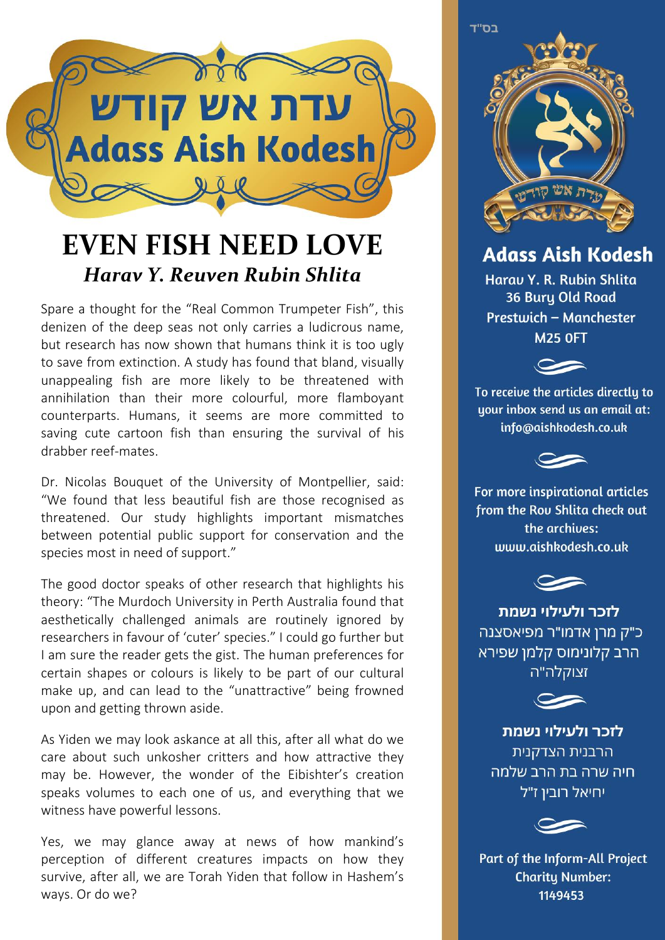

## **EVEN FISH NEED LOVE** *Harav Y. Reuven Rubin Shlita*

Spare a thought for the "Real Common Trumpeter Fish", this denizen of the deep seas not only carries a ludicrous name, but research has now shown that humans think it is too ugly to save from extinction. A study has found that bland, visually unappealing fish are more likely to be threatened with annihilation than their more colourful, more flamboyant counterparts. Humans, it seems are more committed to saving cute cartoon fish than ensuring the survival of his drabber reef-mates.

Dr. Nicolas Bouquet of the University of Montpellier, said: "We found that less beautiful fish are those recognised as threatened. Our study highlights important mismatches between potential public support for conservation and the species most in need of support."

The good doctor speaks of other research that highlights his theory: "The Murdoch University in Perth Australia found that aesthetically challenged animals are routinely ignored by researchers in favour of 'cuter' species." I could go further but I am sure the reader gets the gist. The human preferences for certain shapes or colours is likely to be part of our cultural make up, and can lead to the "unattractive" being frowned upon and getting thrown aside.

As Yiden we may look askance at all this, after all what do we care about such unkosher critters and how attractive they may be. However, the wonder of the Eibishter's creation speaks volumes to each one of us, and everything that we witness have powerful lessons.

Yes, we may glance away at news of how mankind's perception of different creatures impacts on how they survive, after all, we are Torah Yiden that follow in Hashem's ways. Or do we?

בס"ד

**Adass Aish Kodesh** 

Harau Y. R. Rubin Shlita 36 Bury Old Road Prestwich - Manchester **M25 OFT** 



To receive the articles directly to uour inbox send us an email at: info@aishkodesh.co.uk



For more inspirational articles from the Rou Shlita check out the archives: www.aishkodesh.co.uk



לזכר ולעילוי נשמת כ"ק מרן אדמו"ר מפיאסצנה הרב קלונימוס קלמן שפירא זצוקלה"ה



לזכר ולעילוי נשמת הרבנית הצדקנית חיה שרה בת הרב שלמה יחיאל רובין ז"ל



Part of the Inform-All Project **Charity Number:** 1149453